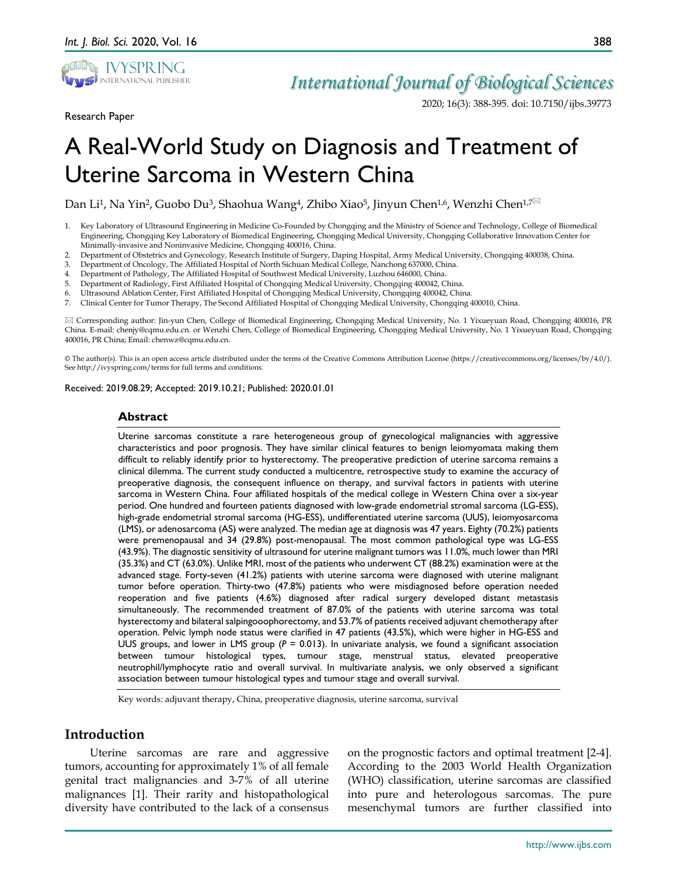

Research Paper

## *International Journal of Biological Sciences*

2020; 16(3): 388-395. doi: 10.7150/ijbs.39773

# A Real-World Study on Diagnosis and Treatment of Uterine Sarcoma in Western China

Dan Li<sup>1</sup>, Na Yin<sup>2</sup>, Guobo Du<sup>3</sup>, Shaohua Wang<sup>4</sup>, Zhibo Xiao<sup>5</sup>, Jinyun Chen<sup>1,6</sup>, Wenzhi Chen<sup>1,7 $\boxtimes$ </sup>

- 1. Key Laboratory of Ultrasound Engineering in Medicine Co-Founded by Chongqing and the Ministry of Science and Technology, College of Biomedical Engineering, Chongqing Key Laboratory of Biomedical Engineering, Chongqing Medical University, Chongqing Collaborative Innovation Center for Minimally-invasive and Noninvasive Medicine, Chongqing 400016, China.
- 2. Department of Obstetrics and Gynecology, Research Institute of Surgery, Daping Hospital, Army Medical University, Chongqing 400038, China.<br>2. Department of Oncology, The Affiliated Hospital of North Sichuan Medical Coll
- 3. Department of Oncology, The Affiliated Hospital of North Sichuan Medical College, Nanchong 637000, China.
- 4. Department of Pathology, The Affiliated Hospital of Southwest Medical University, Luzhou 646000, China.
- 5. Department of Radiology, First Affiliated Hospital of Chongqing Medical University, Chongqing 400042, China.
- 6. Ultrasound Ablation Center, First Affiliated Hospital of Chongqing Medical University, Chongqing 400042, China.
- 7. Clinical Center for Tumor Therapy, The Second Affiliated Hospital of Chongqing Medical University, Chongqing 400010, China.

 Corresponding author: Jin-yun Chen, College of Biomedical Engineering, Chongqing Medical University, No. 1 Yixueyuan Road, Chongqing 400016, PR China. E-mail: chenjy@cqmu.edu.cn. or Wenzhi Chen, College of Biomedical Engineering, Chongqing Medical University, No. 1 Yixueyuan Road, Chongqing 400016, PR China; Email: chenwz@cqmu.edu.cn.

© The author(s). This is an open access article distributed under the terms of the Creative Commons Attribution License (https://creativecommons.org/licenses/by/4.0/). See http://ivyspring.com/terms for full terms and conditions.

Received: 2019.08.29; Accepted: 2019.10.21; Published: 2020.01.01

#### **Abstract**

Uterine sarcomas constitute a rare heterogeneous group of gynecological malignancies with aggressive characteristics and poor prognosis. They have similar clinical features to benign leiomyomata making them difficult to reliably identify prior to hysterectomy. The preoperative prediction of uterine sarcoma remains a clinical dilemma. The current study conducted a multicentre, retrospective study to examine the accuracy of preoperative diagnosis, the consequent influence on therapy, and survival factors in patients with uterine sarcoma in Western China. Four affiliated hospitals of the medical college in Western China over a six-year period. One hundred and fourteen patients diagnosed with low-grade endometrial stromal sarcoma (LG-ESS), high-grade endometrial stromal sarcoma (HG-ESS), undifferentiated uterine sarcoma (UUS), leiomyosarcoma (LMS), or adenosarcoma (AS) were analyzed. The median age at diagnosis was 47 years. Eighty (70.2%) patients were premenopausal and 34 (29.8%) post-menopausal. The most common pathological type was LG-ESS (43.9%). The diagnostic sensitivity of ultrasound for uterine malignant tumors was 11.0%, much lower than MRI (35.3%) and CT (63.0%). Unlike MRI, most of the patients who underwent CT (88.2%) examination were at the advanced stage. Forty-seven (41.2%) patients with uterine sarcoma were diagnosed with uterine malignant tumor before operation. Thirty-two (47.8%) patients who were misdiagnosed before operation needed reoperation and five patients (4.6%) diagnosed after radical surgery developed distant metastasis simultaneously. The recommended treatment of 87.0% of the patients with uterine sarcoma was total hysterectomy and bilateral salpingooophorectomy, and 53.7% of patients received adjuvant chemotherapy after operation. Pelvic lymph node status were clarified in 47 patients (43.5%), which were higher in HG-ESS and UUS groups, and lower in LMS group (*P* = 0.013). In univariate analysis, we found a significant association between tumour histological types, tumour stage, menstrual status, elevated preoperative neutrophil/lymphocyte ratio and overall survival. In multivariate analysis, we only observed a significant association between tumour histological types and tumour stage and overall survival.

Key words: adjuvant therapy, China, preoperative diagnosis, uterine sarcoma, survival

## **Introduction**

Uterine sarcomas are rare and aggressive tumors, accounting for approximately 1% of all female genital tract malignancies and 3-7% of all uterine malignances [1]. Their rarity and histopathological diversity have contributed to the lack of a consensus

on the prognostic factors and optimal treatment [2-4]. According to the 2003 World Health Organization (WHO) classification, uterine sarcomas are classified into pure and heterologous sarcomas. The pure mesenchymal tumors are further classified into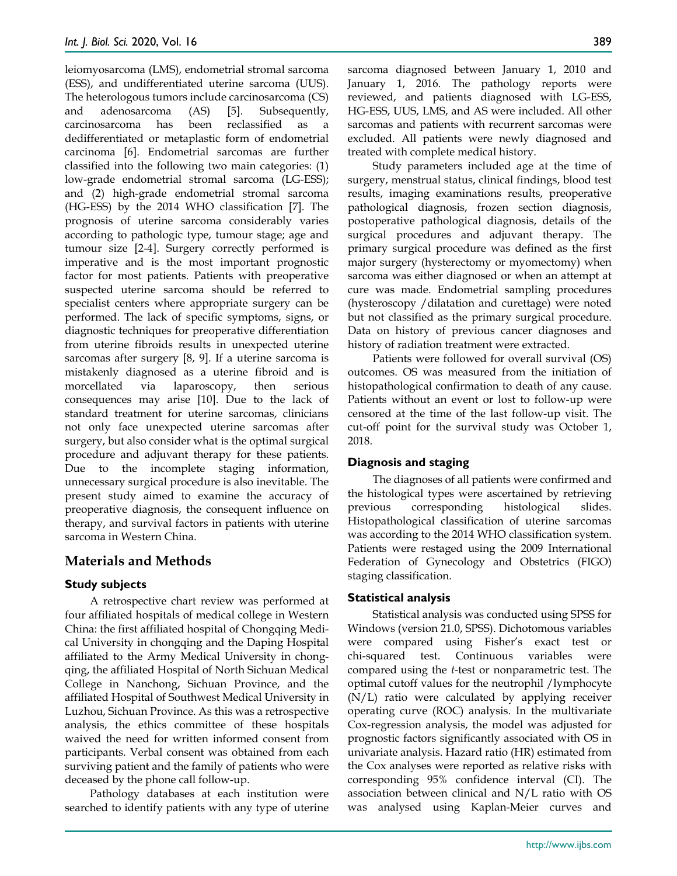leiomyosarcoma (LMS), endometrial stromal sarcoma (ESS), and undifferentiated uterine sarcoma (UUS). The heterologous tumors include carcinosarcoma (CS) and adenosarcoma (AS) [5]. Subsequently, carcinosarcoma has been reclassified as a dedifferentiated or metaplastic form of endometrial carcinoma [6]. Endometrial sarcomas are further classified into the following two main categories: (1) low-grade endometrial stromal sarcoma (LG-ESS); and (2) high-grade endometrial stromal sarcoma (HG-ESS) by the 2014 WHO classification [7]. The prognosis of uterine sarcoma considerably varies according to pathologic type, tumour stage; age and tumour size [2-4]. Surgery correctly performed is imperative and is the most important prognostic factor for most patients. Patients with preoperative suspected uterine sarcoma should be referred to specialist centers where appropriate surgery can be performed. The lack of specific symptoms, signs, or diagnostic techniques for preoperative differentiation from uterine fibroids results in unexpected uterine sarcomas after surgery [8, 9]. If a uterine sarcoma is mistakenly diagnosed as a uterine fibroid and is morcellated via laparoscopy, then serious consequences may arise [10]. Due to the lack of standard treatment for uterine sarcomas, clinicians not only face unexpected uterine sarcomas after surgery, but also consider what is the optimal surgical procedure and adjuvant therapy for these patients. Due to the incomplete staging information, unnecessary surgical procedure is also inevitable. The present study aimed to examine the accuracy of preoperative diagnosis, the consequent influence on therapy, and survival factors in patients with uterine sarcoma in Western China.

## **Materials and Methods**

## **Study subjects**

A retrospective chart review was performed at four affiliated hospitals of medical college in Western China: the first affiliated hospital of Chongqing Medical University in chongqing and the Daping Hospital affiliated to the Army Medical University in chongqing, the affiliated Hospital of North Sichuan Medical College in Nanchong, Sichuan Province, and the affiliated Hospital of Southwest Medical University in Luzhou, Sichuan Province. As this was a retrospective analysis, the ethics committee of these hospitals waived the need for written informed consent from participants. Verbal consent was obtained from each surviving patient and the family of patients who were deceased by the phone call follow-up.

Pathology databases at each institution were searched to identify patients with any type of uterine sarcoma diagnosed between January 1, 2010 and January 1, 2016. The pathology reports were reviewed, and patients diagnosed with LG-ESS, HG-ESS, UUS, LMS, and AS were included. All other sarcomas and patients with recurrent sarcomas were excluded. All patients were newly diagnosed and treated with complete medical history.

Study parameters included age at the time of surgery, menstrual status, clinical findings, blood test results, imaging examinations results, preoperative pathological diagnosis, frozen section diagnosis, postoperative pathological diagnosis, details of the surgical procedures and adjuvant therapy. The primary surgical procedure was defined as the first major surgery (hysterectomy or myomectomy) when sarcoma was either diagnosed or when an attempt at cure was made. Endometrial sampling procedures (hysteroscopy /dilatation and curettage) were noted but not classified as the primary surgical procedure. Data on history of previous cancer diagnoses and history of radiation treatment were extracted.

Patients were followed for overall survival (OS) outcomes. OS was measured from the initiation of histopathological confirmation to death of any cause. Patients without an event or lost to follow-up were censored at the time of the last follow-up visit. The cut-off point for the survival study was October 1, 2018.

#### **Diagnosis and staging**

The diagnoses of all patients were confirmed and the histological types were ascertained by retrieving previous corresponding histological slides. Histopathological classification of uterine sarcomas was according to the 2014 WHO classification system. Patients were restaged using the 2009 International Federation of Gynecology and Obstetrics (FIGO) staging classification.

#### **Statistical analysis**

Statistical analysis was conducted using SPSS for Windows (version 21.0, SPSS). Dichotomous variables were compared using Fisher's exact test or chi-squared test. Continuous variables were compared using the *t-*test or nonparametric test. The optimal cutoff values for the neutrophil /lymphocyte (N/L) ratio were calculated by applying receiver operating curve (ROC) analysis. In the multivariate Cox-regression analysis, the model was adjusted for prognostic factors significantly associated with OS in univariate analysis. Hazard ratio (HR) estimated from the Cox analyses were reported as relative risks with corresponding 95% confidence interval (CI). The association between clinical and N/L ratio with OS was analysed using Kaplan-Meier curves and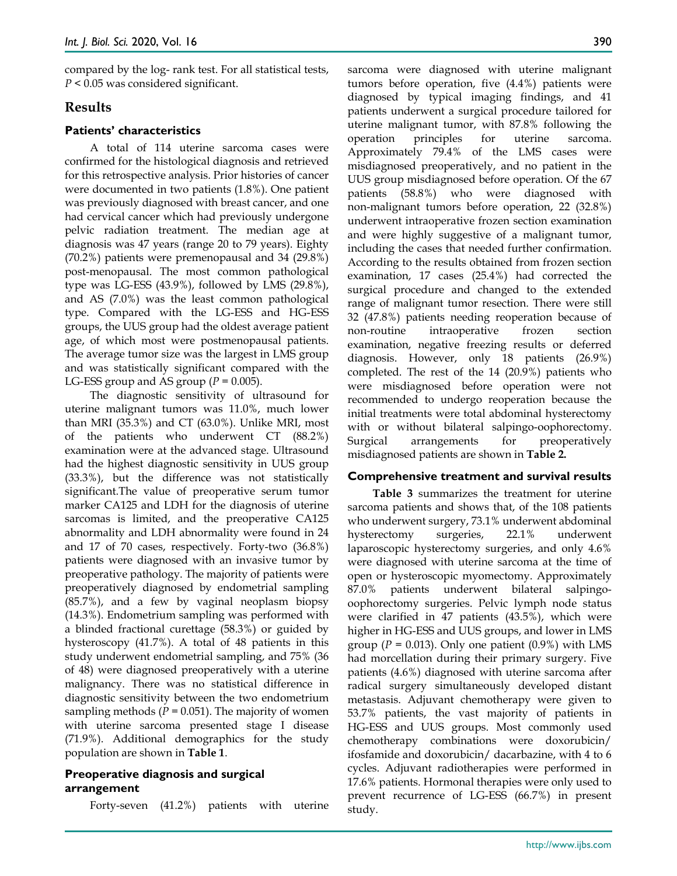compared by the log- rank test. For all statistical tests, *P* < 0.05 was considered significant.

#### **Results**

#### **Patients' characteristics**

A total of 114 uterine sarcoma cases were confirmed for the histological diagnosis and retrieved for this retrospective analysis. Prior histories of cancer were documented in two patients (1.8%). One patient was previously diagnosed with breast cancer, and one had cervical cancer which had previously undergone pelvic radiation treatment. The median age at diagnosis was 47 years (range 20 to 79 years). Eighty (70.2%) patients were premenopausal and 34 (29.8%) post-menopausal. The most common pathological type was LG-ESS (43.9%), followed by LMS (29.8%), and AS (7.0%) was the least common pathological type. Compared with the LG-ESS and HG-ESS groups, the UUS group had the oldest average patient age, of which most were postmenopausal patients. The average tumor size was the largest in LMS group and was statistically significant compared with the LG-ESS group and AS group  $(P = 0.005)$ .

The diagnostic sensitivity of ultrasound for uterine malignant tumors was 11.0%, much lower than MRI (35.3%) and CT (63.0%). Unlike MRI, most of the patients who underwent CT (88.2%) examination were at the advanced stage. Ultrasound had the highest diagnostic sensitivity in UUS group (33.3%), but the difference was not statistically significant.The value of preoperative serum tumor marker CA125 and LDH for the diagnosis of uterine sarcomas is limited, and the preoperative CA125 abnormality and LDH abnormality were found in 24 and 17 of 70 cases, respectively. Forty-two (36.8%) patients were diagnosed with an invasive tumor by preoperative pathology. The majority of patients were preoperatively diagnosed by endometrial sampling (85.7%), and a few by vaginal neoplasm biopsy (14.3%). Endometrium sampling was performed with a blinded fractional curettage (58.3%) or guided by hysteroscopy (41.7%). A total of 48 patients in this study underwent endometrial sampling, and 75% (36 of 48) were diagnosed preoperatively with a uterine malignancy. There was no statistical difference in diagnostic sensitivity between the two endometrium sampling methods ( $P = 0.051$ ). The majority of women with uterine sarcoma presented stage I disease (71.9%). Additional demographics for the study population are shown in **Table 1**.

#### **Preoperative diagnosis and surgical arrangement**

Forty-seven (41.2%) patients with uterine

sarcoma were diagnosed with uterine malignant tumors before operation, five (4.4%) patients were diagnosed by typical imaging findings, and 41 patients underwent a surgical procedure tailored for uterine malignant tumor, with 87.8% following the operation principles for uterine sarcoma. Approximately 79.4% of the LMS cases were misdiagnosed preoperatively, and no patient in the UUS group misdiagnosed before operation. Of the 67 patients (58.8%) who were diagnosed with non-malignant tumors before operation, 22 (32.8%) underwent intraoperative frozen section examination and were highly suggestive of a malignant tumor, including the cases that needed further confirmation. According to the results obtained from frozen section examination, 17 cases (25.4%) had corrected the surgical procedure and changed to the extended range of malignant tumor resection. There were still 32 (47.8%) patients needing reoperation because of non-routine intraoperative frozen section examination, negative freezing results or deferred diagnosis. However, only 18 patients (26.9%) completed. The rest of the 14 (20.9%) patients who were misdiagnosed before operation were not recommended to undergo reoperation because the initial treatments were total abdominal hysterectomy with or without bilateral salpingo-oophorectomy. Surgical arrangements for preoperatively misdiagnosed patients are shown in **Table 2.**

#### **Comprehensive treatment and survival results**

**Table 3** summarizes the treatment for uterine sarcoma patients and shows that, of the 108 patients who underwent surgery, 73.1% underwent abdominal hysterectomy surgeries, 22.1% underwent laparoscopic hysterectomy surgeries, and only 4.6% were diagnosed with uterine sarcoma at the time of open or hysteroscopic myomectomy. Approximately 87.0% patients underwent bilateral salpingooophorectomy surgeries. Pelvic lymph node status were clarified in 47 patients (43.5%), which were higher in HG-ESS and UUS groups, and lower in LMS group  $(P = 0.013)$ . Only one patient  $(0.9\%)$  with LMS had morcellation during their primary surgery. Five patients (4.6%) diagnosed with uterine sarcoma after radical surgery simultaneously developed distant metastasis. Adjuvant chemotherapy were given to 53.7% patients, the vast majority of patients in HG-ESS and UUS groups. Most commonly used chemotherapy combinations were doxorubicin/ ifosfamide and doxorubicin/ dacarbazine, with 4 to 6 cycles. Adjuvant radiotherapies were performed in 17.6% patients. Hormonal therapies were only used to prevent recurrence of LG-ESS (66.7%) in present study.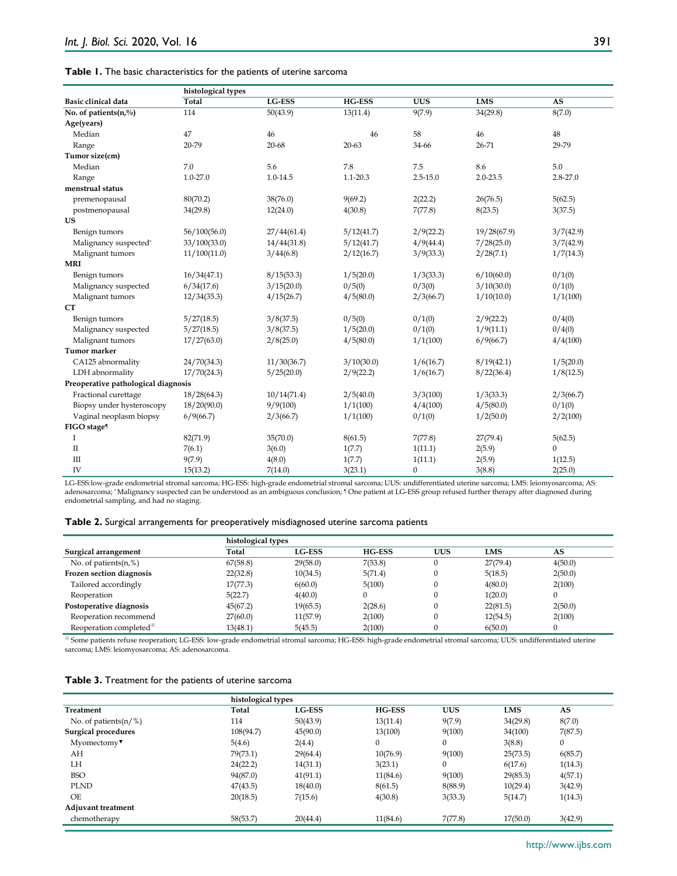| <b>Table 1.</b> The basic characteristics for the patients of uterine sarcoma |
|-------------------------------------------------------------------------------|
|                                                                               |

|                                     | histological types |             |               |              |             |              |
|-------------------------------------|--------------------|-------------|---------------|--------------|-------------|--------------|
| <b>Basic clinical data</b>          | Total              | LG-ESS      | <b>HG-ESS</b> | <b>UUS</b>   | <b>LMS</b>  | <b>AS</b>    |
| No. of patients(n,%)                | 114                | 50(43.9)    | 13(11.4)      | 9(7.9)       | 34(29.8)    | 8(7.0)       |
| Age(years)                          |                    |             |               |              |             |              |
| Median                              | 47                 | 46          | 46            | 58           | 46          | 48           |
| Range                               | 20-79              | 20-68       | $20 - 63$     | 34-66        | 26-71       | 29-79        |
| Tumor size(cm)                      |                    |             |               |              |             |              |
| Median                              | 7.0                | 5.6         | 7.8           | 7.5          | 8.6         | 5.0          |
| Range                               | $1.0 - 27.0$       | 1.0-14.5    | $1.1 - 20.3$  | $2.5 - 15.0$ | 2.0-23.5    | $2.8 - 27.0$ |
| menstrual status                    |                    |             |               |              |             |              |
| premenopausal                       | 80(70.2)           | 38(76.0)    | 9(69.2)       | 2(22.2)      | 26(76.5)    | 5(62.5)      |
| postmenopausal                      | 34(29.8)           | 12(24.0)    | 4(30.8)       | 7(77.8)      | 8(23.5)     | 3(37.5)      |
| US                                  |                    |             |               |              |             |              |
| Benign tumors                       | 56/100(56.0)       | 27/44(61.4) | 5/12(41.7)    | 2/9(22.2)    | 19/28(67.9) | 3/7(42.9)    |
| Malignancy suspected*               | 33/100(33.0)       | 14/44(31.8) | 5/12(41.7)    | 4/9(44.4)    | 7/28(25.0)  | 3/7(42.9)    |
| Malignant tumors                    | 11/100(11.0)       | 3/44(6.8)   | 2/12(16.7)    | 3/9(33.3)    | 2/28(7.1)   | 1/7(14.3)    |
| <b>MRI</b>                          |                    |             |               |              |             |              |
| Benign tumors                       | 16/34(47.1)        | 8/15(53.3)  | 1/5(20.0)     | 1/3(33.3)    | 6/10(60.0)  | 0/1(0)       |
| Malignancy suspected                | 6/34(17.6)         | 3/15(20.0)  | 0/5(0)        | 0/3(0)       | 3/10(30.0)  | 0/1(0)       |
| Malignant tumors                    | 12/34(35.3)        | 4/15(26.7)  | 4/5(80.0)     | 2/3(66.7)    | 1/10(10.0)  | 1/1(100)     |
| <b>CT</b>                           |                    |             |               |              |             |              |
| Benign tumors                       | 5/27(18.5)         | 3/8(37.5)   | 0/5(0)        | 0/1(0)       | 2/9(22.2)   | 0/4(0)       |
| Malignancy suspected                | 5/27(18.5)         | 3/8(37.5)   | 1/5(20.0)     | 0/1(0)       | 1/9(11.1)   | 0/4(0)       |
| Malignant tumors                    | 17/27(63.0)        | 2/8(25.0)   | 4/5(80.0)     | 1/1(100)     | 6/9(66.7)   | 4/4(100)     |
| <b>Tumor marker</b>                 |                    |             |               |              |             |              |
| CA125 abnormality                   | 24/70(34.3)        | 11/30(36.7) | 3/10(30.0)    | 1/6(16.7)    | 8/19(42.1)  | 1/5(20.0)    |
| LDH abnormality                     | 17/70(24.3)        | 5/25(20.0)  | 2/9(22.2)     | 1/6(16.7)    | 8/22(36.4)  | 1/8(12.5)    |
| Preoperative pathological diagnosis |                    |             |               |              |             |              |
| Fractional curettage                | 18/28(64.3)        | 10/14(71.4) | 2/5(40.0)     | 3/3(100)     | 1/3(33.3)   | 2/3(66.7)    |
| Biopsy under hysteroscopy           | 18/20(90.0)        | 9/9(100)    | 1/1(100)      | 4/4(100)     | 4/5(80.0)   | 0/1(0)       |
| Vaginal neoplasm biopsy             | 6/9(66.7)          | 2/3(66.7)   | 1/1(100)      | 0/1(0)       | 1/2(50.0)   | 2/2(100)     |
| FIGO stage <sup>®</sup>             |                    |             |               |              |             |              |
| T                                   | 82(71.9)           | 35(70.0)    | 8(61.5)       | 7(77.8)      | 27(79.4)    | 5(62.5)      |
| $\mathbf{I}$                        | 7(6.1)             | 3(6.0)      | 1(7.7)        | 1(11.1)      | 2(5.9)      | $\Omega$     |
| III                                 | 9(7.9)             | 4(8.0)      | 1(7.7)        | 1(11.1)      | 2(5.9)      | 1(12.5)      |
| IV                                  | 15(13.2)           | 7(14.0)     | 3(23.1)       | $\mathbf{0}$ | 3(8.8)      | 2(25.0)      |

LG-ESS:low-grade endometrial stromal sarcoma; HG-ESS: high-grade endometrial stromal sarcoma; UUS: undifferentiated uterine sarcoma; LMS: leiomyosarcoma; AS: adenosarcoma; \* Malignancy suspected can be understood as an ambiguous conclusion; ¶ One patient at LG-ESS group refused further therapy after diagnosed during endometrial sampling, and had no staging.

|  |  | Table 2. Surgical arrangements for preoperatively misdiagnosed uterine sarcoma patients |  |  |
|--|--|-----------------------------------------------------------------------------------------|--|--|
|  |  |                                                                                         |  |  |

|                                    | histological types |               |               |            |            |         |  |
|------------------------------------|--------------------|---------------|---------------|------------|------------|---------|--|
| Surgical arrangement               | Total              | <b>LG-ESS</b> | <b>HG-ESS</b> | <b>UUS</b> | <b>LMS</b> | AS      |  |
| No. of patients $(n, %)$           | 67(58.8)           | 29(58.0)      | 7(53.8)       |            | 27(79.4)   | 4(50.0) |  |
| Frozen section diagnosis           | 22(32.8)           | 10(34.5)      | 5(71.4)       |            | 5(18.5)    | 2(50.0) |  |
| Tailored accordingly               | 17(77.3)           | 6(60.0)       | 5(100)        |            | 4(80.0)    | 2(100)  |  |
| Reoperation                        | 5(22.7)            | 4(40.0)       |               |            | 1(20.0)    |         |  |
| Postoperative diagnosis            | 45(67.2)           | 19(65.5)      | 2(28.6)       |            | 22(81.5)   | 2(50.0) |  |
| Reoperation recommend              | 27(60.0)           | 11(57.9)      | 2(100)        |            | 12(54.5)   | 2(100)  |  |
| Reoperation completed <sup>*</sup> | 13(48.1)           | 5(45.5)       | 2(100)        |            | 6(50.0)    |         |  |

※ Some patients refuse reoperation; LG-ESS: low-grade endometrial stromal sarcoma; HG-ESS: high-grade endometrial stromal sarcoma; UUS: undifferentiated uterine sarcoma; LMS: leiomyosarcoma; AS: adenosarcoma.

| Table 3. Treatment for the patients of uterine sarcoma |  |  |
|--------------------------------------------------------|--|--|
|--------------------------------------------------------|--|--|

|                                    | histological types |               |               |              |            |              |
|------------------------------------|--------------------|---------------|---------------|--------------|------------|--------------|
| Treatment                          | Total              | <b>LG-ESS</b> | <b>HG-ESS</b> | <b>UUS</b>   | <b>LMS</b> | AS           |
| No. of patients $(n/\%)$           | 114                | 50(43.9)      | 13(11.4)      | 9(7.9)       | 34(29.8)   | 8(7.0)       |
| Surgical procedures                | 108(94.7)          | 45(90.0)      | 13(100)       | 9(100)       | 34(100)    | 7(87.5)      |
| $M$ yomectomy $\blacktriangledown$ | 5(4.6)             | 2(4.4)        | $\mathbf{0}$  | $\Omega$     | 3(8.8)     | $\mathbf{0}$ |
| AH                                 | 79(73.1)           | 29(64.4)      | 10(76.9)      | 9(100)       | 25(73.5)   | 6(85.7)      |
| LH                                 | 24(22.2)           | 14(31.1)      | 3(23.1)       | $\mathbf{0}$ | 6(17.6)    | 1(14.3)      |
| <b>BSO</b>                         | 94(87.0)           | 41(91.1)      | 11(84.6)      | 9(100)       | 29(85.3)   | 4(57.1)      |
| <b>PLND</b>                        | 47(43.5)           | 18(40.0)      | 8(61.5)       | 8(88.9)      | 10(29.4)   | 3(42.9)      |
| OE                                 | 20(18.5)           | 7(15.6)       | 4(30.8)       | 3(33.3)      | 5(14.7)    | 1(14.3)      |
| Adjuvant treatment                 |                    |               |               |              |            |              |
| chemotherapy                       | 58(53.7)           | 20(44.4)      | 11(84.6)      | 7(77.8)      | 17(50.0)   | 3(42.9)      |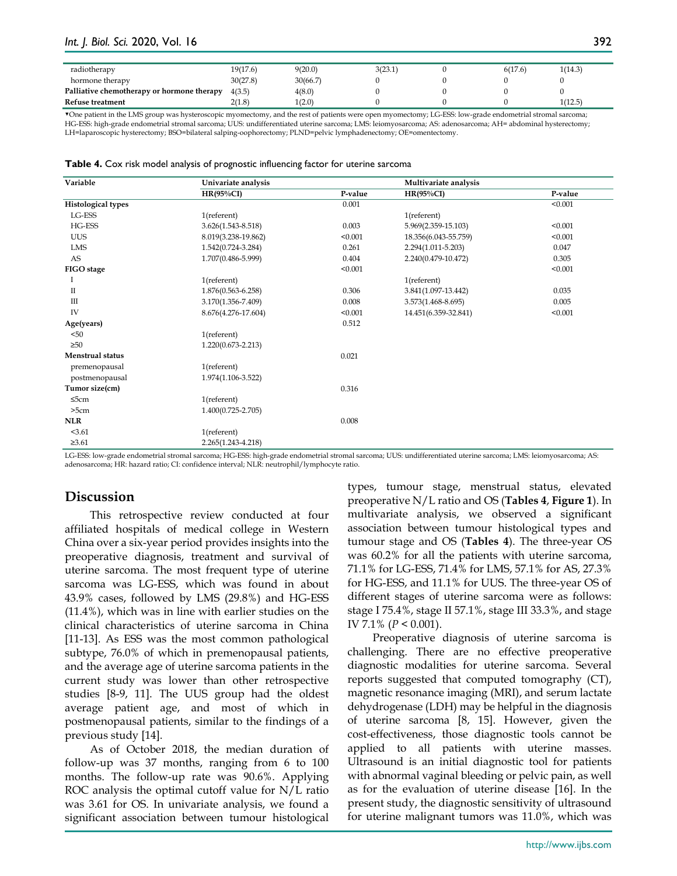| radiotherapy                               | 19(17.6) | 9(20.0)  | 3(23.1) | 6(17.6) | 1(14.3) |
|--------------------------------------------|----------|----------|---------|---------|---------|
| hormone therapy                            | 30(27.8) | 30(66.7) |         |         |         |
| Palliative chemotherapy or hormone therapy | 4(3.5)   | 4(8.0)   |         |         |         |
| Refuse treatment                           | 2(1.8)   | 1(2.0)   |         |         | 1(12.5) |

▼One patient in the LMS group was hysteroscopic myomectomy, and the rest of patients were open myomectomy; LG-ESS: low-grade endometrial stromal sarcoma; HG-ESS: high-grade endometrial stromal sarcoma; UUS: undifferentiated uterine sarcoma; LMS: leiomyosarcoma; AS: adenosarcoma; AH= abdominal hysterectomy; LH=laparoscopic hysterectomy; BSO=bilateral salping-oophorectomy; PLND=pelvic lymphadenectomy; OE=omentectomy.

| Table 4. Cox risk model analysis of prognostic influencing factor for uterine sarcoma |  |  |  |
|---------------------------------------------------------------------------------------|--|--|--|
|---------------------------------------------------------------------------------------|--|--|--|

| Variable                  | Univariate analysis    |                         | Multivariate analysis |         |
|---------------------------|------------------------|-------------------------|-----------------------|---------|
|                           | $HR(95\%CI)$           | P-value<br>$HR(95\%CI)$ |                       | P-value |
| <b>Histological types</b> |                        | 0.001                   |                       | < 0.001 |
| LG-ESS                    | 1(referent)            |                         | 1(referent)           |         |
| HG-ESS                    | 3.626(1.543-8.518)     | 0.003                   | 5.969(2.359-15.103)   | < 0.001 |
| <b>UUS</b>                | 8.019(3.238-19.862)    | < 0.001                 | 18.356(6.043-55.759)  | < 0.001 |
| LMS                       | 1.542(0.724-3.284)     | 0.261                   | 2.294(1.011-5.203)    | 0.047   |
| AS                        | 1.707(0.486-5.999)     | 0.404                   | 2.240(0.479-10.472)   | 0.305   |
| FIGO stage                |                        | < 0.001                 |                       | < 0.001 |
| 1                         | 1(referent)            |                         | 1(referent)           |         |
| П                         | 1.876(0.563-6.258)     | 0.306                   | 3.841(1.097-13.442)   | 0.035   |
| Ш                         | 3.170(1.356-7.409)     | 0.008                   | 3.573(1.468-8.695)    | 0.005   |
| IV                        | 8.676(4.276-17.604)    | < 0.001                 | 14.451(6.359-32.841)  | < 0.001 |
| Age(years)                |                        | 0.512                   |                       |         |
| < 50                      | 1(referent)            |                         |                       |         |
| >50                       | $1.220(0.673 - 2.213)$ |                         |                       |         |
| <b>Menstrual status</b>   |                        | 0.021                   |                       |         |
| premenopausal             | 1(referent)            |                         |                       |         |
| postmenopausal            | 1.974(1.106-3.522)     |                         |                       |         |
| Tumor size(cm)            |                        | 0.316                   |                       |         |
| $\leq$ 5cm                | 1(referent)            |                         |                       |         |
| >5cm                      | 1.400(0.725-2.705)     |                         |                       |         |
| <b>NLR</b>                |                        | 0.008                   |                       |         |
| < 3.61                    | 1(referent)            |                         |                       |         |
| $\geq 3.61$               | 2.265(1.243-4.218)     |                         |                       |         |

LG-ESS: low-grade endometrial stromal sarcoma; HG-ESS: high-grade endometrial stromal sarcoma; UUS: undifferentiated uterine sarcoma; LMS: leiomyosarcoma; AS: adenosarcoma; HR: hazard ratio; CI: confidence interval; NLR: neutrophil/lymphocyte ratio.

## **Discussion**

This retrospective review conducted at four affiliated hospitals of medical college in Western China over a six-year period provides insights into the preoperative diagnosis, treatment and survival of uterine sarcoma. The most frequent type of uterine sarcoma was LG-ESS, which was found in about 43.9% cases, followed by LMS (29.8%) and HG-ESS (11.4%), which was in line with earlier studies on the clinical characteristics of uterine sarcoma in China [11-13]. As ESS was the most common pathological subtype, 76.0% of which in premenopausal patients, and the average age of uterine sarcoma patients in the current study was lower than other retrospective studies [8-9, 11]. The UUS group had the oldest average patient age, and most of which in postmenopausal patients, similar to the findings of a previous study [14].

As of October 2018, the median duration of follow-up was 37 months, ranging from 6 to 100 months. The follow-up rate was 90.6%. Applying ROC analysis the optimal cutoff value for N/L ratio was 3.61 for OS. In univariate analysis, we found a significant association between tumour histological

types, tumour stage, menstrual status, elevated preoperative N/L ratio and OS (**Tables 4**, **Figure 1**). In multivariate analysis, we observed a significant association between tumour histological types and tumour stage and OS (**Tables 4**). The three-year OS was 60.2% for all the patients with uterine sarcoma, 71.1% for LG-ESS, 71.4% for LMS, 57.1% for AS, 27.3% for HG-ESS, and 11.1% for UUS. The three-year OS of different stages of uterine sarcoma were as follows: stage I 75.4%, stage II 57.1%, stage III 33.3%, and stage IV 7.1% (*P* < 0.001).

Preoperative diagnosis of uterine sarcoma is challenging. There are no effective preoperative diagnostic modalities for uterine sarcoma. Several reports suggested that computed tomography (CT), magnetic resonance imaging (MRI), and serum lactate dehydrogenase (LDH) may be helpful in the diagnosis of uterine sarcoma [8, 15]. However, given the cost-effectiveness, those diagnostic tools cannot be applied to all patients with uterine masses. Ultrasound is an initial diagnostic tool for patients with abnormal vaginal bleeding or pelvic pain, as well as for the evaluation of uterine disease [16]. In the present study, the diagnostic sensitivity of ultrasound for uterine malignant tumors was 11.0%, which was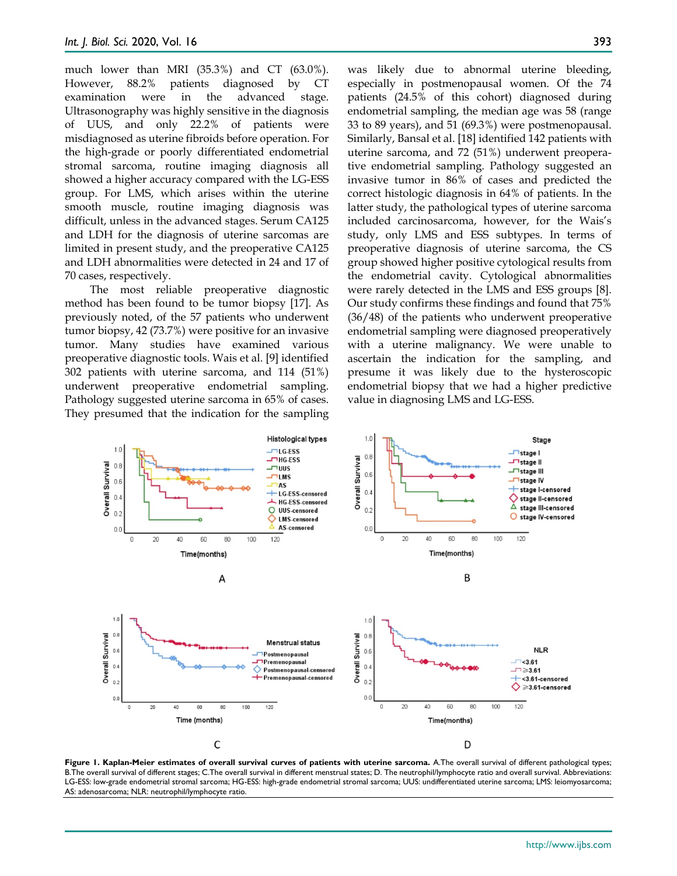much lower than MRI (35.3%) and CT (63.0%). However, 88.2% patients diagnosed by CT examination were in the advanced stage. Ultrasonography was highly sensitive in the diagnosis of UUS, and only 22.2% of patients were misdiagnosed as uterine fibroids before operation. For the high-grade or poorly differentiated endometrial stromal sarcoma, routine imaging diagnosis all showed a higher accuracy compared with the LG-ESS group. For LMS, which arises within the uterine smooth muscle, routine imaging diagnosis was difficult, unless in the advanced stages. Serum CA125 and LDH for the diagnosis of uterine sarcomas are limited in present study, and the preoperative CA125 and LDH abnormalities were detected in 24 and 17 of 70 cases, respectively.

The most reliable preoperative diagnostic method has been found to be tumor biopsy [17]. As previously noted, of the 57 patients who underwent tumor biopsy, 42 (73.7%) were positive for an invasive tumor. Many studies have examined various preoperative diagnostic tools. Wais et al. [9] identified 302 patients with uterine sarcoma, and 114 (51%) underwent preoperative endometrial sampling. Pathology suggested uterine sarcoma in 65% of cases. They presumed that the indication for the sampling was likely due to abnormal uterine bleeding, especially in postmenopausal women. Of the 74 patients (24.5% of this cohort) diagnosed during endometrial sampling, the median age was 58 (range 33 to 89 years), and 51 (69.3%) were postmenopausal. Similarly, Bansal et al. [18] identified 142 patients with uterine sarcoma, and 72 (51%) underwent preoperative endometrial sampling. Pathology suggested an invasive tumor in 86% of cases and predicted the correct histologic diagnosis in 64% of patients. In the latter study, the pathological types of uterine sarcoma included carcinosarcoma, however, for the Wais's study, only LMS and ESS subtypes. In terms of preoperative diagnosis of uterine sarcoma, the CS group showed higher positive cytological results from the endometrial cavity. Cytological abnormalities were rarely detected in the LMS and ESS groups [8]. Our study confirms these findings and found that 75% (36/48) of the patients who underwent preoperative endometrial sampling were diagnosed preoperatively with a uterine malignancy. We were unable to ascertain the indication for the sampling, and presume it was likely due to the hysteroscopic endometrial biopsy that we had a higher predictive value in diagnosing LMS and LG-ESS.



**Figure 1. Kaplan-Meier estimates of overall survival curves of patients with uterine sarcoma.** A.The overall survival of different pathological types; B.The overall survival of different stages; C.The overall survival in different menstrual states; D. The neutrophil/lymphocyte ratio and overall survival. Abbreviations: LG-ESS: low-grade endometrial stromal sarcoma; HG-ESS: high-grade endometrial stromal sarcoma; UUS: undifferentiated uterine sarcoma; LMS: leiomyosarcoma; AS: adenosarcoma; NLR: neutrophil/lymphocyte ratio.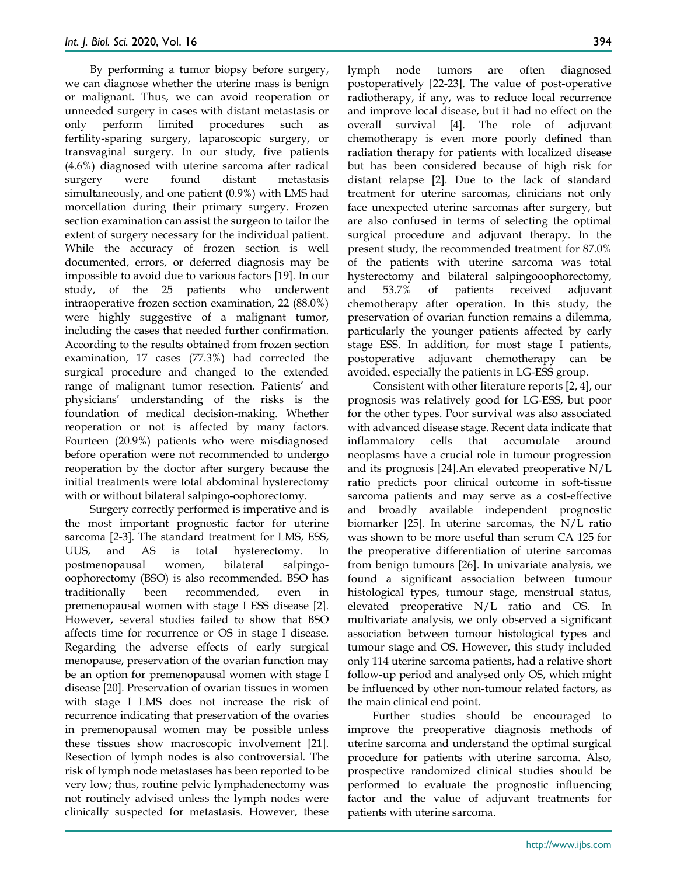By performing a tumor biopsy before surgery, we can diagnose whether the uterine mass is benign or malignant. Thus, we can avoid reoperation or unneeded surgery in cases with distant metastasis or only perform limited procedures such as fertility-sparing surgery, laparoscopic surgery, or transvaginal surgery. In our study, five patients (4.6%) diagnosed with uterine sarcoma after radical surgery were found distant metastasis simultaneously, and one patient (0.9%) with LMS had morcellation during their primary surgery. Frozen section examination can assist the surgeon to tailor the extent of surgery necessary for the individual patient. While the accuracy of frozen section is well documented, errors, or deferred diagnosis may be impossible to avoid due to various factors [19]. In our study, of the 25 patients who underwent intraoperative frozen section examination, 22 (88.0%) were highly suggestive of a malignant tumor, including the cases that needed further confirmation. According to the results obtained from frozen section examination, 17 cases (77.3%) had corrected the surgical procedure and changed to the extended range of malignant tumor resection. Patients' and physicians' understanding of the risks is the foundation of medical decision-making. Whether reoperation or not is affected by many factors. Fourteen (20.9%) patients who were misdiagnosed before operation were not recommended to undergo reoperation by the doctor after surgery because the initial treatments were total abdominal hysterectomy with or without bilateral salpingo-oophorectomy.

Surgery correctly performed is imperative and is the most important prognostic factor for uterine sarcoma [2-3]. The standard treatment for LMS, ESS, UUS, and AS is total hysterectomy. In postmenopausal women, bilateral salpingooophorectomy (BSO) is also recommended. BSO has traditionally been recommended, even in premenopausal women with stage I ESS disease [2]. However, several studies failed to show that BSO affects time for recurrence or OS in stage I disease. Regarding the adverse effects of early surgical menopause, preservation of the ovarian function may be an option for premenopausal women with stage I disease [20]. Preservation of ovarian tissues in women with stage I LMS does not increase the risk of recurrence indicating that preservation of the ovaries in premenopausal women may be possible unless these tissues show macroscopic involvement [21]. Resection of lymph nodes is also controversial. The risk of lymph node metastases has been reported to be very low; thus, routine pelvic lymphadenectomy was not routinely advised unless the lymph nodes were clinically suspected for metastasis. However, these

lymph node tumors are often diagnosed postoperatively [22-23]. The value of post-operative radiotherapy, if any, was to reduce local recurrence and improve local disease, but it had no effect on the overall survival [4]. The role of adjuvant chemotherapy is even more poorly defined than radiation therapy for patients with localized disease but has been considered because of high risk for distant relapse [2]. Due to the lack of standard treatment for uterine sarcomas, clinicians not only face unexpected uterine sarcomas after surgery, but are also confused in terms of selecting the optimal surgical procedure and adjuvant therapy. In the present study, the recommended treatment for 87.0% of the patients with uterine sarcoma was total hysterectomy and bilateral salpingooophorectomy, and 53.7% of patients received adjuvant chemotherapy after operation. In this study, the preservation of ovarian function remains a dilemma, particularly the younger patients affected by early stage ESS. In addition, for most stage I patients, postoperative adjuvant chemotherapy can be avoided, especially the patients in LG-ESS group.

Consistent with other literature reports [2, 4], our prognosis was relatively good for LG-ESS, but poor for the other types. Poor survival was also associated with advanced disease stage. Recent data indicate that inflammatory cells that accumulate around neoplasms have a crucial role in tumour progression and its prognosis [24].An elevated preoperative N/L ratio predicts poor clinical outcome in soft-tissue sarcoma patients and may serve as a cost-effective and broadly available independent prognostic biomarker [25]. In uterine sarcomas, the N/L ratio was shown to be more useful than serum CA 125 for the preoperative differentiation of uterine sarcomas from benign tumours [26]. In univariate analysis, we found a significant association between tumour histological types, tumour stage, menstrual status, elevated preoperative N/L ratio and OS. In multivariate analysis, we only observed a significant association between tumour histological types and tumour stage and OS. However, this study included only 114 uterine sarcoma patients, had a relative short follow-up period and analysed only OS, which might be influenced by other non-tumour related factors, as the main clinical end point.

Further studies should be encouraged to improve the preoperative diagnosis methods of uterine sarcoma and understand the optimal surgical procedure for patients with uterine sarcoma. Also, prospective randomized clinical studies should be performed to evaluate the prognostic influencing factor and the value of adjuvant treatments for patients with uterine sarcoma.